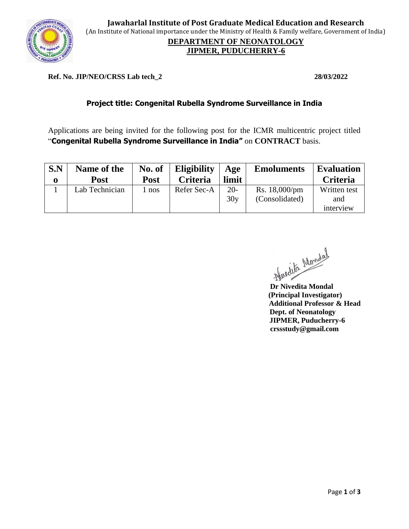

**Jawaharlal Institute of Post Graduate Medical Education and Research** (An Institute of National importance under the Ministry of Health & Family welfare, Government of India)

### **DEPARTMENT OF NEONATOLOGY JIPMER, PUDUCHERRY-6**

#### **Ref. No. JIP/NEO/CRSS Lab tech\_2 28/03/2022**

## **Project title: Congenital Rubella Syndrome Surveillance in India**

Applications are being invited for the following post for the ICMR multicentric project titled "**Congenital Rubella Syndrome Surveillance in India"** on **CONTRACT** basis.

| S.N<br>0 | Name of the<br><b>Post</b> | No. of<br><b>Post</b> | <b>Eligibility</b><br><b>Criteria</b> | Age<br>limit | <b>Emoluments</b>               | <b>Evaluation</b><br><b>Criteria</b> |
|----------|----------------------------|-----------------------|---------------------------------------|--------------|---------------------------------|--------------------------------------|
|          | Lab Technician             | l nos                 | Refer Sec-A                           | $20-$<br>30y | Rs. 18,000/pm<br>(Consolidated) | Written test<br>and                  |
|          |                            |                       |                                       |              |                                 | interview                            |

 **Dr Nivedita Mondal** 

 **(Principal Investigator) Additional Professor & Head Dept. of Neonatology JIPMER, Puducherry-6 crssstudy@gmail.com**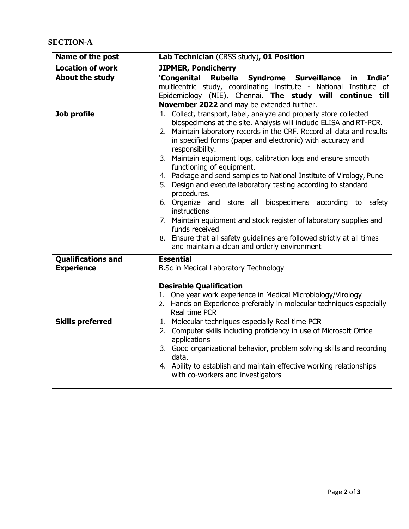# **SECTION-A**

| Name of the post                               | Lab Technician (CRSS study), 01 Position                                                                                                                                                                                                                                                                                                                                                                                                                                                                                                                                                                                                                                                                                                                                                                                                                     |  |  |  |  |
|------------------------------------------------|--------------------------------------------------------------------------------------------------------------------------------------------------------------------------------------------------------------------------------------------------------------------------------------------------------------------------------------------------------------------------------------------------------------------------------------------------------------------------------------------------------------------------------------------------------------------------------------------------------------------------------------------------------------------------------------------------------------------------------------------------------------------------------------------------------------------------------------------------------------|--|--|--|--|
| <b>Location of work</b>                        | <b>JIPMER, Pondicherry</b>                                                                                                                                                                                                                                                                                                                                                                                                                                                                                                                                                                                                                                                                                                                                                                                                                                   |  |  |  |  |
| <b>About the study</b>                         | Rubella Syndrome Surveillance<br>'Congenital<br>India'<br>in.<br>multicentric study, coordinating institute - National Institute of<br>Epidemiology (NIE), Chennai. The study will continue till<br>November 2022 and may be extended further.                                                                                                                                                                                                                                                                                                                                                                                                                                                                                                                                                                                                               |  |  |  |  |
| Job profile                                    | 1. Collect, transport, label, analyze and properly store collected<br>biospecimens at the site. Analysis will include ELISA and RT-PCR.<br>2. Maintain laboratory records in the CRF. Record all data and results<br>in specified forms (paper and electronic) with accuracy and<br>responsibility.<br>3. Maintain equipment logs, calibration logs and ensure smooth<br>functioning of equipment.<br>4. Package and send samples to National Institute of Virology, Pune<br>5. Design and execute laboratory testing according to standard<br>procedures.<br>6. Organize and store all biospecimens according to safety<br>instructions<br>7. Maintain equipment and stock register of laboratory supplies and<br>funds received<br>8. Ensure that all safety guidelines are followed strictly at all times<br>and maintain a clean and orderly environment |  |  |  |  |
| <b>Qualifications and</b><br><b>Experience</b> | <b>Essential</b><br>B.Sc in Medical Laboratory Technology                                                                                                                                                                                                                                                                                                                                                                                                                                                                                                                                                                                                                                                                                                                                                                                                    |  |  |  |  |
|                                                | <b>Desirable Qualification</b><br>1. One year work experience in Medical Microbiology/Virology<br>2. Hands on Experience preferably in molecular techniques especially<br>Real time PCR                                                                                                                                                                                                                                                                                                                                                                                                                                                                                                                                                                                                                                                                      |  |  |  |  |
| <b>Skills preferred</b>                        | 1. Molecular techniques especially Real time PCR<br>2. Computer skills including proficiency in use of Microsoft Office<br>applications<br>3. Good organizational behavior, problem solving skills and recording<br>data.<br>4. Ability to establish and maintain effective working relationships<br>with co-workers and investigators                                                                                                                                                                                                                                                                                                                                                                                                                                                                                                                       |  |  |  |  |